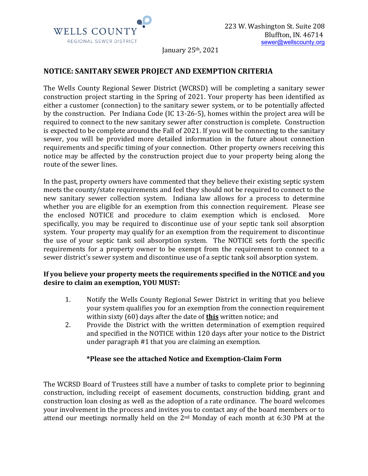

January  $25<sup>th</sup>$ ,  $2021$ 

# **NOTICE: SANITARY SEWER PROJECT AND EXEMPTION CRITERIA**

The Wells County Regional Sewer District (WCRSD) will be completing a sanitary sewer construction project starting in the Spring of 2021. Your property has been identified as either a customer (connection) to the sanitary sewer system, or to be potentially affected by the construction. Per Indiana Code (IC 13-26-5), homes within the project area will be required to connect to the new sanitary sewer after construction is complete. Construction is expected to be complete around the Fall of 2021. If you will be connecting to the sanitary sewer, you will be provided more detailed information in the future about connection requirements and specific timing of your connection. Other property owners receiving this notice may be affected by the construction project due to your property being along the route of the sewer lines.

In the past, property owners have commented that they believe their existing septic system meets the county/state requirements and feel they should not be required to connect to the new sanitary sewer collection system. Indiana law allows for a process to determine whether you are eligible for an exemption from this connection requirement. Please see the enclosed NOTICE and procedure to claim exemption which is enclosed. More specifically, you may be required to discontinue use of your septic tank soil absorption system. Your property may qualify for an exemption from the requirement to discontinue the use of your septic tank soil absorption system. The NOTICE sets forth the specific requirements for a property owner to be exempt from the requirement to connect to a sewer district's sewer system and discontinue use of a septic tank soil absorption system.

### If you believe your property meets the requirements specified in the NOTICE and you desire to claim an exemption, YOU MUST:

- 1. Notify the Wells County Regional Sewer District in writing that you believe your system qualifies you for an exemption from the connection requirement within sixty (60) days after the date of **this** written notice; and
- 2. Provide the District with the written determination of exemption required and specified in the NOTICE within 120 days after your notice to the District under paragraph  $#1$  that you are claiming an exemption.

### **\*Please see the attached Notice and Exemption-Claim Form**

The WCRSD Board of Trustees still have a number of tasks to complete prior to beginning construction, including receipt of easement documents, construction bidding, grant and construction loan closing as well as the adoption of a rate ordinance. The board welcomes your involvement in the process and invites you to contact any of the board members or to attend our meetings normally held on the  $2<sup>nd</sup>$  Monday of each month at 6:30 PM at the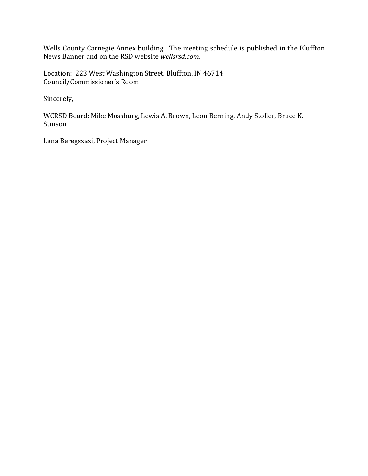Wells County Carnegie Annex building. The meeting schedule is published in the Bluffton News Banner and on the RSD website *wellsrsd.com*.

Location: 223 West Washington Street, Bluffton, IN 46714 Council/Commissioner's Room

Sincerely,

WCRSD Board: Mike Mossburg, Lewis A. Brown, Leon Berning, Andy Stoller, Bruce K. Stinson

Lana Beregszazi, Project Manager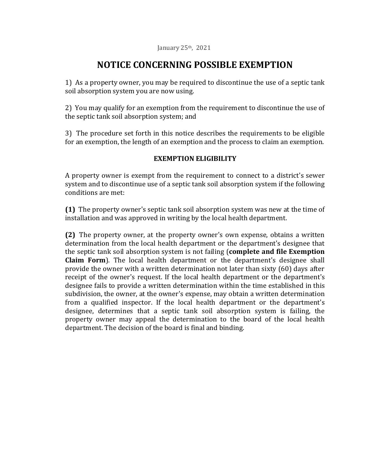# **NOTICE CONCERNING POSSIBLE EXEMPTION**

1) As a property owner, you may be required to discontinue the use of a septic tank soil absorption system you are now using.

2) You may qualify for an exemption from the requirement to discontinue the use of the septic tank soil absorption system; and

3) The procedure set forth in this notice describes the requirements to be eligible for an exemption, the length of an exemption and the process to claim an exemption.

## **EXEMPTION ELIGIBILITY**

A property owner is exempt from the requirement to connect to a district's sewer system and to discontinue use of a septic tank soil absorption system if the following conditions are met:

**(1)** The property owner's septic tank soil absorption system was new at the time of installation and was approved in writing by the local health department.

**(2)** The property owner, at the property owner's own expense, obtains a written determination from the local health department or the department's designee that the septic tank soil absorption system is not failing (**complete and file Exemption Claim Form**). The local health department or the department's designee shall provide the owner with a written determination not later than sixty  $(60)$  days after receipt of the owner's request. If the local health department or the department's designee fails to provide a written determination within the time established in this subdivision, the owner, at the owner's expense, may obtain a written determination from a qualified inspector. If the local health department or the department's designee, determines that a septic tank soil absorption system is failing, the property owner may appeal the determination to the board of the local health department. The decision of the board is final and binding.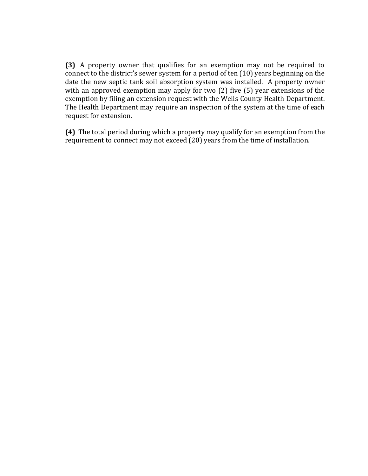**(3)** A property owner that qualifies for an exemption may not be required to connect to the district's sewer system for a period of ten  $(10)$  years beginning on the date the new septic tank soil absorption system was installed. A property owner with an approved exemption may apply for two  $(2)$  five  $(5)$  year extensions of the exemption by filing an extension request with the Wells County Health Department. The Health Department may require an inspection of the system at the time of each request for extension.

**(4)** The total period during which a property may qualify for an exemption from the requirement to connect may not exceed (20) years from the time of installation.